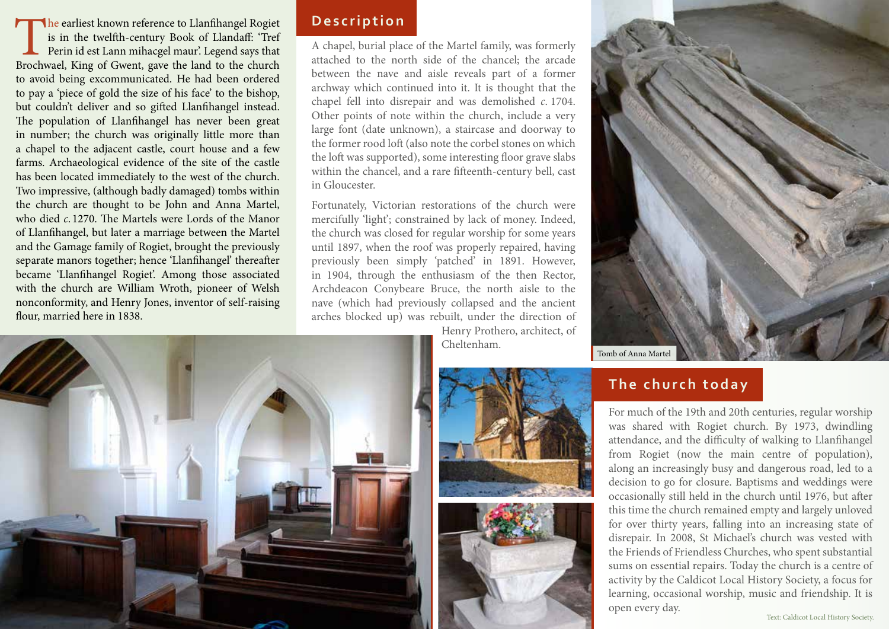The earliest known reference to Llanfihangel Rogiet is in the twelfth-century Book of Llandaff: 'Tref Perin id est Lann mihacgel maur'. Legend says that Brochwael, King of Gwent, gave the land to the church is in the twelfth-century Book of Llandaff: 'Tref Perin id est Lann mihacgel maur'. Legend says that to avoid being excommunicated. He had been ordered to pay a 'piece of gold the size of his face' to the bishop, but couldn't deliver and so gifted Llanfihangel instead. The population of Llanfihangel has never been great in number; the church was originally little more than a chapel to the adjacent castle, court house and a few farms. Archaeological evidence of the site of the castle has been located immediately to the west of the church. Two impressive, (although badly damaged) tombs within the church are thought to be John and Anna Martel, who died *c*. 1270. The Martels were Lords of the Manor of Llanfihangel, but later a marriage between the Martel and the Gamage family of Rogiet, brought the previously separate manors together; hence 'Llanfihangel' thereafter became 'Llanfihangel Rogiet'. Among those associated with the church are William Wroth, pioneer of Welsh nonconformity, and Henry Jones, inventor of self-raising flour, married here in 1838.

### **Description**

A chapel, burial place of the Martel family, was formerly attached to the north side of the chancel; the arcade between the nave and aisle reveals part of a former archway which continued into it. It is thought that the chapel fell into disrepair and was demolished *c*. 1704. Other points of note within the church, include a very large font (date unknown), a staircase and doorway to the former rood loft (also note the corbel stones on which the loft was supported), some interesting floor grave slabs within the chancel, and a rare fifteenth-century bell, cast in Gloucester.

Fortunately, Victorian restorations of the church were mercifully 'light'; constrained by lack of money. Indeed, the church was closed for regular worship for some years until 1897, when the roof was properly repaired, having previously been simply 'patched' in 1891. However, in 1904, through the enthusiasm of the then Rector, Archdeacon Conybeare Bruce, the north aisle to the nave (which had previously collapsed and the ancient arches blocked up) was rebuilt, under the direction of

Henry Prothero, architect, of Cheltenham.









## **The church toda y**

For much of the 19th and 20th centuries, regular worship was shared with Rogiet church. By 1973, dwindling attendance, and the difficulty of walking to Llanfihangel from Rogiet (now the main centre of population), along an increasingly busy and dangerous road, led to a decision to go for closure. Baptisms and weddings were occasionally still held in the church until 1976, but after this time the church remained empty and largely unloved for over thirty years, falling into an increasing state of disrepair. In 2008, St Michael's church was vested with the Friends of Friendless Churches, who spent substantial sums on essential repairs. Today the church is a centre of activity by the Caldicot Local History Society, a focus for learning, occasional worship, music and friendship. It is open every day.